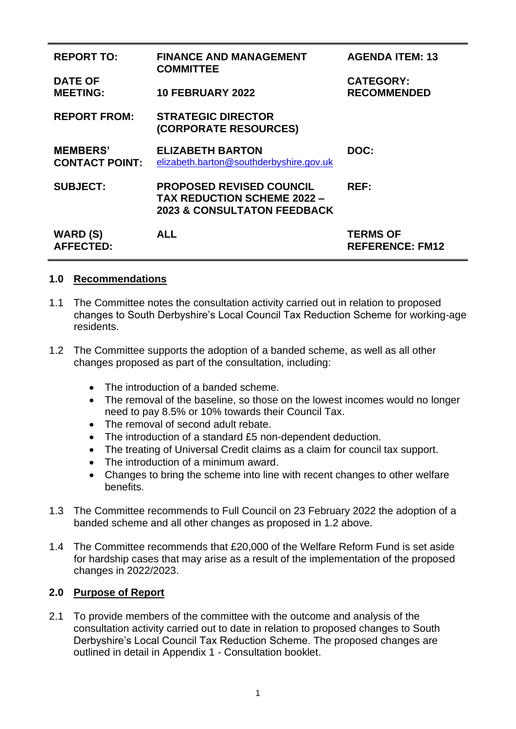| <b>REPORT TO:</b>                        | <b>FINANCE AND MANAGEMENT</b><br><b>COMMITTEE</b>                                                               | <b>AGENDA ITEM: 13</b>                    |
|------------------------------------------|-----------------------------------------------------------------------------------------------------------------|-------------------------------------------|
| <b>DATE OF</b><br><b>MEETING:</b>        | <b>10 FEBRUARY 2022</b>                                                                                         | <b>CATEGORY:</b><br><b>RECOMMENDED</b>    |
| <b>REPORT FROM:</b>                      | <b>STRATEGIC DIRECTOR</b><br>(CORPORATE RESOURCES)                                                              |                                           |
| <b>MEMBERS'</b><br><b>CONTACT POINT:</b> | <b>ELIZABETH BARTON</b><br>elizabeth.barton@southderbyshire.gov.uk                                              | DOC:                                      |
| <b>SUBJECT:</b>                          | <b>PROPOSED REVISED COUNCIL</b><br><b>TAX REDUCTION SCHEME 2022 -</b><br><b>2023 &amp; CONSULTATON FEEDBACK</b> | REF:                                      |
| <b>WARD (S)</b><br><b>AFFECTED:</b>      | <b>ALL</b>                                                                                                      | <b>TERMS OF</b><br><b>REFERENCE: FM12</b> |

## **1.0 Recommendations**

- 1.1 The Committee notes the consultation activity carried out in relation to proposed changes to South Derbyshire's Local Council Tax Reduction Scheme for working-age residents.
- 1.2 The Committee supports the adoption of a banded scheme, as well as all other changes proposed as part of the consultation, including:
	- The introduction of a banded scheme.
	- The removal of the baseline, so those on the lowest incomes would no longer need to pay 8.5% or 10% towards their Council Tax.
	- The removal of second adult rebate.
	- The introduction of a standard £5 non-dependent deduction.
	- The treating of Universal Credit claims as a claim for council tax support.
	- The introduction of a minimum award.
	- Changes to bring the scheme into line with recent changes to other welfare benefits.
- 1.3 The Committee recommends to Full Council on 23 February 2022 the adoption of a banded scheme and all other changes as proposed in 1.2 above.
- 1.4 The Committee recommends that £20,000 of the Welfare Reform Fund is set aside for hardship cases that may arise as a result of the implementation of the proposed changes in 2022/2023.

## **2.0 Purpose of Report**

2.1 To provide members of the committee with the outcome and analysis of the consultation activity carried out to date in relation to proposed changes to South Derbyshire's Local Council Tax Reduction Scheme. The proposed changes are outlined in detail in Appendix 1 - Consultation booklet.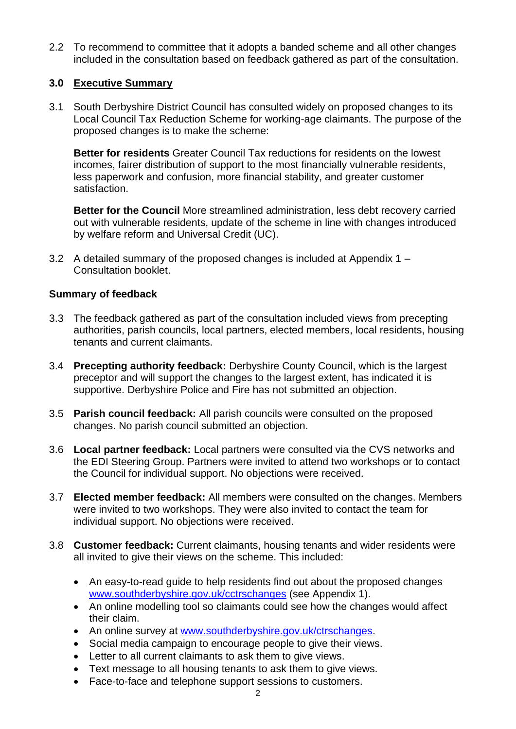2.2 To recommend to committee that it adopts a banded scheme and all other changes included in the consultation based on feedback gathered as part of the consultation.

# **3.0 Executive Summary**

3.1 South Derbyshire District Council has consulted widely on proposed changes to its Local Council Tax Reduction Scheme for working-age claimants. The purpose of the proposed changes is to make the scheme:

**Better for residents** Greater Council Tax reductions for residents on the lowest incomes, fairer distribution of support to the most financially vulnerable residents, less paperwork and confusion, more financial stability, and greater customer satisfaction.

**Better for the Council** More streamlined administration, less debt recovery carried out with vulnerable residents, update of the scheme in line with changes introduced by welfare reform and Universal Credit (UC).

3.2 A detailed summary of the proposed changes is included at Appendix 1 – Consultation booklet.

## **Summary of feedback**

- 3.3 The feedback gathered as part of the consultation included views from precepting authorities, parish councils, local partners, elected members, local residents, housing tenants and current claimants.
- 3.4 **Precepting authority feedback:** Derbyshire County Council, which is the largest preceptor and will support the changes to the largest extent, has indicated it is supportive. Derbyshire Police and Fire has not submitted an objection.
- 3.5 **Parish council feedback:** All parish councils were consulted on the proposed changes. No parish council submitted an objection.
- 3.6 **Local partner feedback:** Local partners were consulted via the CVS networks and the EDI Steering Group. Partners were invited to attend two workshops or to contact the Council for individual support. No objections were received.
- 3.7 **Elected member feedback:** All members were consulted on the changes. Members were invited to two workshops. They were also invited to contact the team for individual support. No objections were received.
- 3.8 **Customer feedback:** Current claimants, housing tenants and wider residents were all invited to give their views on the scheme. This included:
	- An easy-to-read guide to help residents find out about the proposed changes [www.southderbyshire.gov.uk/cctrschanges](http://www.southderbyshire.gov.uk/cctrschanges) (see Appendix 1).
	- An online modelling tool so claimants could see how the changes would affect their claim.
	- An online survey at [www.southderbyshire.gov.uk/ctrschanges.](http://www.southderbyshire.gov.uk/ctrschanges)
	- Social media campaign to encourage people to give their views.
	- Letter to all current claimants to ask them to give views.
	- Text message to all housing tenants to ask them to give views.
	- Face-to-face and telephone support sessions to customers.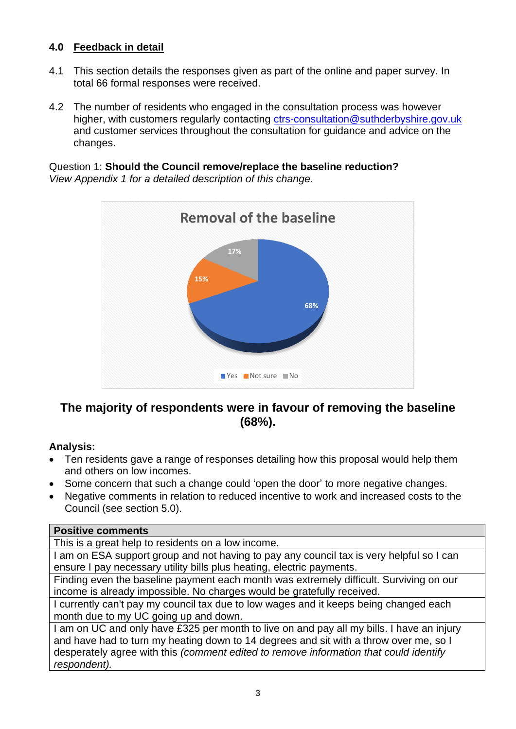# **4.0 Feedback in detail**

- 4.1 This section details the responses given as part of the online and paper survey. In total 66 formal responses were received.
- 4.2 The number of residents who engaged in the consultation process was however higher, with customers regularly contacting [ctrs-consultation@suthderbyshire.gov.uk](mailto:ctrs-consultation@suthderbyshire.gov.uk) and customer services throughout the consultation for guidance and advice on the changes.

Question 1: **Should the Council remove/replace the baseline reduction?**  *View Appendix 1 for a detailed description of this change.*



# **The majority of respondents were in favour of removing the baseline (68%).**

# **Analysis:**

- Ten residents gave a range of responses detailing how this proposal would help them and others on low incomes.
- Some concern that such a change could 'open the door' to more negative changes.
- Negative comments in relation to reduced incentive to work and increased costs to the Council (see section 5.0).

## **Positive comments**

This is a great help to residents on a low income.

I am on ESA support group and not having to pay any council tax is very helpful so I can ensure I pay necessary utility bills plus heating, electric payments.

Finding even the baseline payment each month was extremely difficult. Surviving on our income is already impossible. No charges would be gratefully received.

I currently can't pay my council tax due to low wages and it keeps being changed each month due to my UC going up and down.

I am on UC and only have £325 per month to live on and pay all my bills. I have an injury and have had to turn my heating down to 14 degrees and sit with a throw over me, so I desperately agree with this *(comment edited to remove information that could identify respondent).*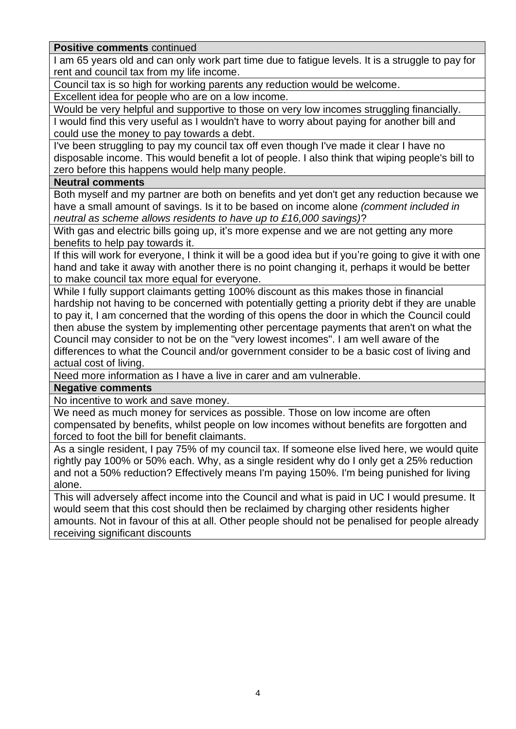**Positive comments** continued

I am 65 years old and can only work part time due to fatigue levels. It is a struggle to pay for rent and council tax from my life income.

Council tax is so high for working parents any reduction would be welcome.

Excellent idea for people who are on a low income.

Would be very helpful and supportive to those on very low incomes struggling financially. I would find this very useful as I wouldn't have to worry about paying for another bill and

could use the money to pay towards a debt.

I've been struggling to pay my council tax off even though I've made it clear I have no disposable income. This would benefit a lot of people. I also think that wiping people's bill to zero before this happens would help many people.

## **Neutral comments**

Both myself and my partner are both on benefits and yet don't get any reduction because we have a small amount of savings. Is it to be based on income alone *(comment included in neutral as scheme allows residents to have up to £16,000 savings)*?

With gas and electric bills going up, it's more expense and we are not getting any more benefits to help pay towards it.

If this will work for everyone, I think it will be a good idea but if you're going to give it with one hand and take it away with another there is no point changing it, perhaps it would be better to make council tax more equal for everyone.

While I fully support claimants getting 100% discount as this makes those in financial hardship not having to be concerned with potentially getting a priority debt if they are unable to pay it, I am concerned that the wording of this opens the door in which the Council could then abuse the system by implementing other percentage payments that aren't on what the Council may consider to not be on the "very lowest incomes". I am well aware of the differences to what the Council and/or government consider to be a basic cost of living and actual cost of living.

Need more information as I have a live in carer and am vulnerable.

## **Negative comments**

No incentive to work and save money.

We need as much money for services as possible. Those on low income are often compensated by benefits, whilst people on low incomes without benefits are forgotten and forced to foot the bill for benefit claimants.

As a single resident, I pay 75% of my council tax. If someone else lived here, we would quite rightly pay 100% or 50% each. Why, as a single resident why do I only get a 25% reduction and not a 50% reduction? Effectively means I'm paying 150%. I'm being punished for living alone.

This will adversely affect income into the Council and what is paid in UC I would presume. It would seem that this cost should then be reclaimed by charging other residents higher amounts. Not in favour of this at all. Other people should not be penalised for people already receiving significant discounts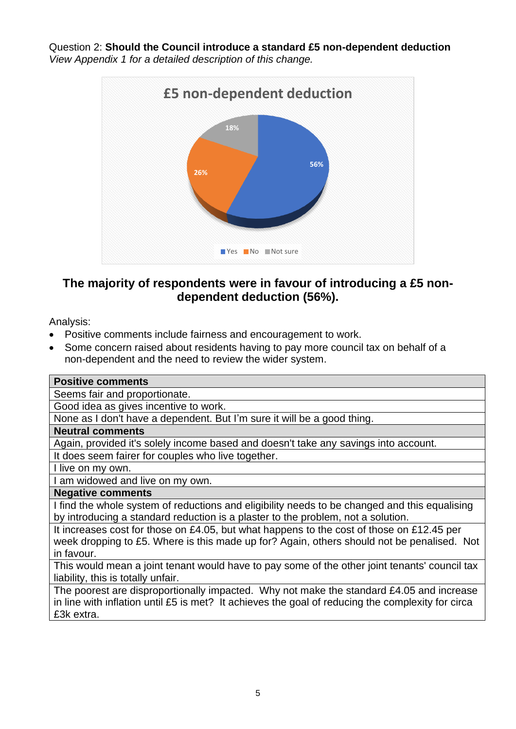Question 2: **Should the Council introduce a standard £5 non-dependent deduction** *View Appendix 1 for a detailed description of this change.*



# **The majority of respondents were in favour of introducing a £5 nondependent deduction (56%).**

Analysis:

- Positive comments include fairness and encouragement to work.
- Some concern raised about residents having to pay more council tax on behalf of a non-dependent and the need to review the wider system.

| <b>Positive comments</b>                                                                          |
|---------------------------------------------------------------------------------------------------|
| Seems fair and proportionate.                                                                     |
| Good idea as gives incentive to work.                                                             |
| None as I don't have a dependent. But I'm sure it will be a good thing.                           |
| <b>Neutral comments</b>                                                                           |
| Again, provided it's solely income based and doesn't take any savings into account.               |
| It does seem fairer for couples who live together.                                                |
| I live on my own.                                                                                 |
| am widowed and live on my own.                                                                    |
| <b>Negative comments</b>                                                                          |
| I find the whole system of reductions and eligibility needs to be changed and this equalising     |
| by introducing a standard reduction is a plaster to the problem, not a solution.                  |
| It increases cost for those on £4.05, but what happens to the cost of those on £12.45 per         |
| week dropping to £5. Where is this made up for? Again, others should not be penalised. Not        |
| in favour.                                                                                        |
| This would mean a joint tenant would have to pay some of the other joint tenants' council tax     |
| liability, this is totally unfair.                                                                |
| The poorest are disproportionally impacted. Why not make the standard £4.05 and increase          |
| in line with inflation until £5 is met? It achieves the goal of reducing the complexity for circa |
| £3k extra.                                                                                        |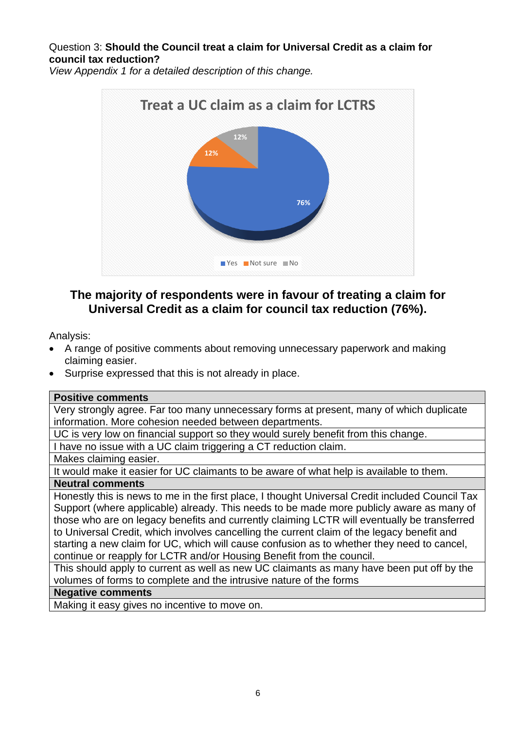Question 3: **Should the Council treat a claim for Universal Credit as a claim for council tax reduction?**

*View Appendix 1 for a detailed description of this change.*



# **The majority of respondents were in favour of treating a claim for Universal Credit as a claim for council tax reduction (76%).**

Analysis:

- A range of positive comments about removing unnecessary paperwork and making claiming easier.
- Surprise expressed that this is not already in place.

## **Positive comments**

Very strongly agree. Far too many unnecessary forms at present, many of which duplicate information. More cohesion needed between departments.

UC is very low on financial support so they would surely benefit from this change.

I have no issue with a UC claim triggering a CT reduction claim.

Makes claiming easier.

It would make it easier for UC claimants to be aware of what help is available to them.

## **Neutral comments**

Honestly this is news to me in the first place, I thought Universal Credit included Council Tax Support (where applicable) already. This needs to be made more publicly aware as many of those who are on legacy benefits and currently claiming LCTR will eventually be transferred to Universal Credit, which involves cancelling the current claim of the legacy benefit and starting a new claim for UC, which will cause confusion as to whether they need to cancel, continue or reapply for LCTR and/or Housing Benefit from the council.

This should apply to current as well as new UC claimants as many have been put off by the volumes of forms to complete and the intrusive nature of the forms

# **Negative comments**

Making it easy gives no incentive to move on.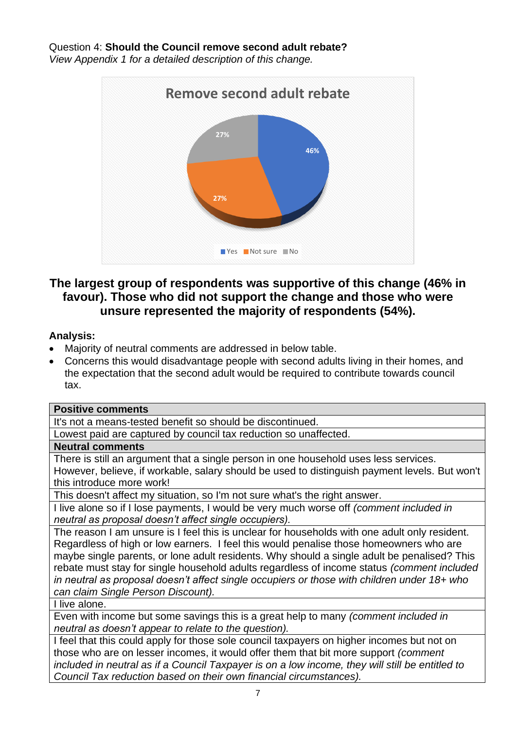Question 4: **Should the Council remove second adult rebate?** *View Appendix 1 for a detailed description of this change.*



# **The largest group of respondents was supportive of this change (46% in favour). Those who did not support the change and those who were unsure represented the majority of respondents (54%).**

# **Analysis:**

- Majority of neutral comments are addressed in below table.
- Concerns this would disadvantage people with second adults living in their homes, and the expectation that the second adult would be required to contribute towards council tax.

## **Positive comments**

It's not a means-tested benefit so should be discontinued.

Lowest paid are captured by council tax reduction so unaffected.

## **Neutral comments**

There is still an argument that a single person in one household uses less services. However, believe, if workable, salary should be used to distinguish payment levels. But won't this introduce more work!

This doesn't affect my situation, so I'm not sure what's the right answer.

I live alone so if I lose payments, I would be very much worse off *(comment included in neutral as proposal doesn't affect single occupiers).*

The reason I am unsure is I feel this is unclear for households with one adult only resident. Regardless of high or low earners. I feel this would penalise those homeowners who are maybe single parents, or lone adult residents. Why should a single adult be penalised? This rebate must stay for single household adults regardless of income status *(comment included in neutral as proposal doesn't affect single occupiers or those with children under 18+ who can claim Single Person Discount).*

I live alone.

Even with income but some savings this is a great help to many *(comment included in neutral as doesn't appear to relate to the question).*

I feel that this could apply for those sole council taxpayers on higher incomes but not on those who are on lesser incomes, it would offer them that bit more support *(comment included in neutral as if a Council Taxpayer is on a low income, they will still be entitled to Council Tax reduction based on their own financial circumstances).*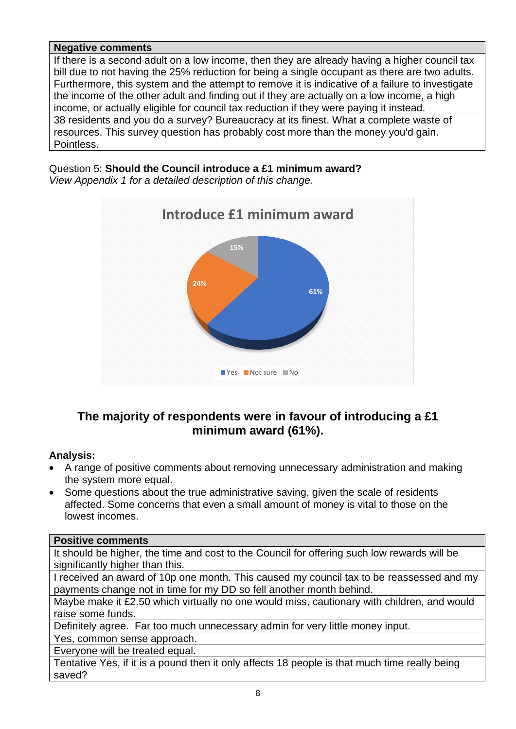## **Negative comments**

If there is a second adult on a low income, then they are already having a higher council tax bill due to not having the 25% reduction for being a single occupant as there are two adults. Furthermore, this system and the attempt to remove it is indicative of a failure to investigate the income of the other adult and finding out if they are actually on a low income, a high income, or actually eligible for council tax reduction if they were paying it instead.

38 residents and you do a survey? Bureaucracy at its finest. What a complete waste of resources. This survey question has probably cost more than the money you'd gain. Pointless.

Question 5: **Should the Council introduce a £1 minimum award?** *View Appendix 1 for a detailed description of this change.*



# **The majority of respondents were in favour of introducing a £1 minimum award (61%).**

# **Analysis:**

- A range of positive comments about removing unnecessary administration and making the system more equal.
- Some questions about the true administrative saving, given the scale of residents affected. Some concerns that even a small amount of money is vital to those on the lowest incomes.

## **Positive comments**

It should be higher, the time and cost to the Council for offering such low rewards will be significantly higher than this.

I received an award of 10p one month. This caused my council tax to be reassessed and my payments change not in time for my DD so fell another month behind.

Maybe make it £2.50 which virtually no one would miss, cautionary with children, and would raise some funds.

Definitely agree. Far too much unnecessary admin for very little money input.

Yes, common sense approach.

Everyone will be treated equal.

Tentative Yes, if it is a pound then it only affects 18 people is that much time really being saved?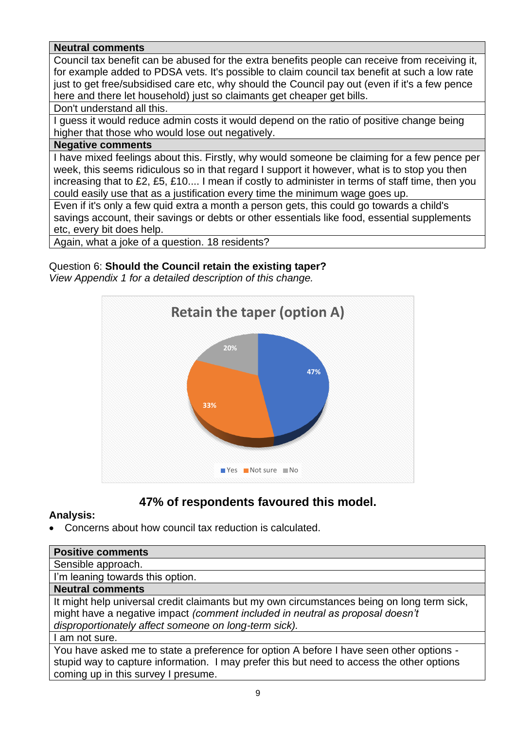# **Neutral comments**

Council tax benefit can be abused for the extra benefits people can receive from receiving it, for example added to PDSA vets. It's possible to claim council tax benefit at such a low rate just to get free/subsidised care etc, why should the Council pay out (even if it's a few pence here and there let household) just so claimants get cheaper get bills.

Don't understand all this.

I guess it would reduce admin costs it would depend on the ratio of positive change being higher that those who would lose out negatively.

#### **Negative comments**

I have mixed feelings about this. Firstly, why would someone be claiming for a few pence per week, this seems ridiculous so in that regard I support it however, what is to stop you then increasing that to £2, £5, £10.... I mean if costly to administer in terms of staff time, then you could easily use that as a justification every time the minimum wage goes up.

Even if it's only a few quid extra a month a person gets, this could go towards a child's savings account, their savings or debts or other essentials like food, essential supplements etc, every bit does help.

Again, what a joke of a question. 18 residents?

# Question 6: **Should the Council retain the existing taper?**

*View Appendix 1 for a detailed description of this change.*



# **47% of respondents favoured this model.**

## **Analysis:**

• Concerns about how council tax reduction is calculated.

| <b>Positive comments</b>                                                                   |
|--------------------------------------------------------------------------------------------|
| Sensible approach.                                                                         |
| I'm leaning towards this option.                                                           |
| <b>Neutral comments</b>                                                                    |
| It might help universal credit claimants but my own circumstances being on long term sick, |
| might have a negative impact (comment included in neutral as proposal doesn't              |
| disproportionately affect someone on long-term sick).                                      |
| I am not sure.                                                                             |
| You have asked me to state a preference for option A before I have seen other options -    |
| stupid way to capture information. I may prefer this but need to access the other options  |
| coming up in this survey I presume.                                                        |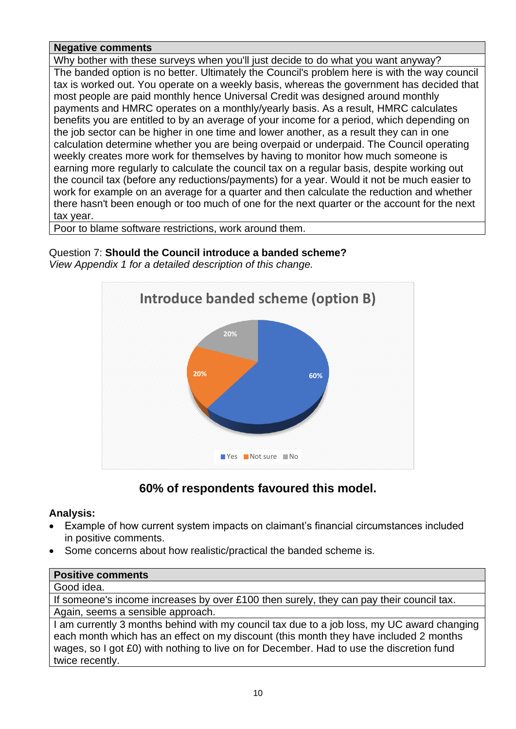# **Negative comments**

Why bother with these surveys when you'll just decide to do what you want anyway? The banded option is no better. Ultimately the Council's problem here is with the way council tax is worked out. You operate on a weekly basis, whereas the government has decided that most people are paid monthly hence Universal Credit was designed around monthly payments and HMRC operates on a monthly/yearly basis. As a result, HMRC calculates benefits you are entitled to by an average of your income for a period, which depending on the job sector can be higher in one time and lower another, as a result they can in one calculation determine whether you are being overpaid or underpaid. The Council operating weekly creates more work for themselves by having to monitor how much someone is earning more regularly to calculate the council tax on a regular basis, despite working out the council tax (before any reductions/payments) for a year. Would it not be much easier to work for example on an average for a quarter and then calculate the reduction and whether there hasn't been enough or too much of one for the next quarter or the account for the next tax year.

Poor to blame software restrictions, work around them.

Question 7: **Should the Council introduce a banded scheme?** *View Appendix 1 for a detailed description of this change.*



# **60% of respondents favoured this model.**

# **Analysis:**

- Example of how current system impacts on claimant's financial circumstances included in positive comments.
- Some concerns about how realistic/practical the banded scheme is.

| <b>Positive comments</b>                                                                   |
|--------------------------------------------------------------------------------------------|
| Good idea.                                                                                 |
| If someone's income increases by over £100 then surely, they can pay their council tax.    |
| Again, seems a sensible approach.                                                          |
| I am currently 3 months behind with my council tax due to a job loss, my UC award changing |
| each month which has an effect on my discount (this month they have included 2 months      |

wages, so I got £0) with nothing to live on for December. Had to use the discretion fund twice recently.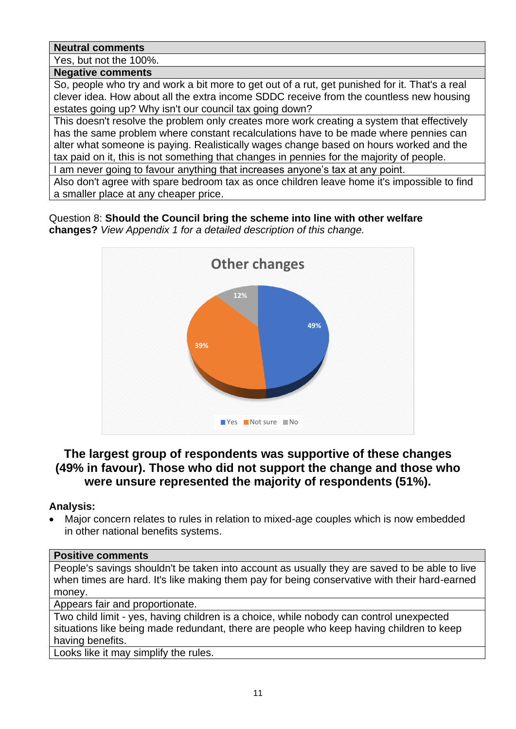# **Neutral comments**

Yes, but not the 100%.

#### **Negative comments**

So, people who try and work a bit more to get out of a rut, get punished for it. That's a real clever idea. How about all the extra income SDDC receive from the countless new housing estates going up? Why isn't our council tax going down?

This doesn't resolve the problem only creates more work creating a system that effectively has the same problem where constant recalculations have to be made where pennies can alter what someone is paying. Realistically wages change based on hours worked and the tax paid on it, this is not something that changes in pennies for the majority of people.

I am never going to favour anything that increases anyone's tax at any point.

Also don't agree with spare bedroom tax as once children leave home it's impossible to find a smaller place at any cheaper price.

Question 8: **Should the Council bring the scheme into line with other welfare changes?** *View Appendix 1 for a detailed description of this change.*



# **The largest group of respondents was supportive of these changes (49% in favour). Those who did not support the change and those who were unsure represented the majority of respondents (51%).**

# **Analysis:**

• Major concern relates to rules in relation to mixed-age couples which is now embedded in other national benefits systems.

## **Positive comments**

People's savings shouldn't be taken into account as usually they are saved to be able to live when times are hard. It's like making them pay for being conservative with their hard-earned money.

Appears fair and proportionate.

Two child limit - yes, having children is a choice, while nobody can control unexpected situations like being made redundant, there are people who keep having children to keep having benefits.

Looks like it may simplify the rules.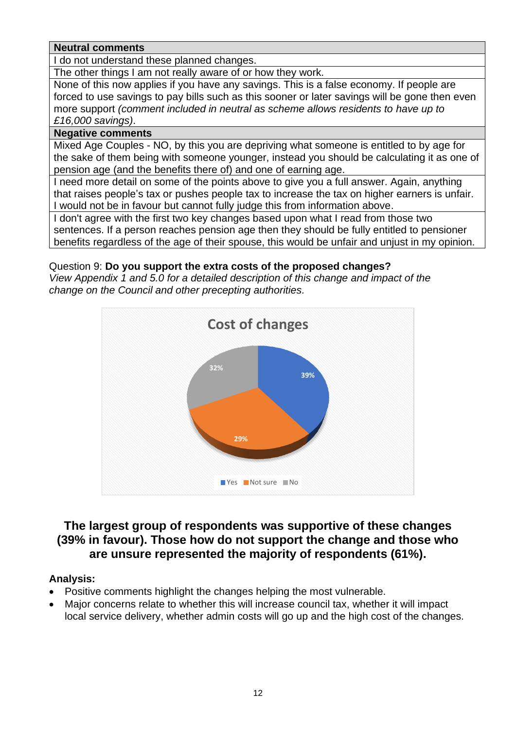## **Neutral comments**

I do not understand these planned changes.

The other things I am not really aware of or how they work.

None of this now applies if you have any savings. This is a false economy. If people are forced to use savings to pay bills such as this sooner or later savings will be gone then even more support *(comment included in neutral as scheme allows residents to have up to £16,000 savings)*.

# **Negative comments**

Mixed Age Couples - NO, by this you are depriving what someone is entitled to by age for the sake of them being with someone younger, instead you should be calculating it as one of pension age (and the benefits there of) and one of earning age.

I need more detail on some of the points above to give you a full answer. Again, anything that raises people's tax or pushes people tax to increase the tax on higher earners is unfair. I would not be in favour but cannot fully judge this from information above.

I don't agree with the first two key changes based upon what I read from those two sentences. If a person reaches pension age then they should be fully entitled to pensioner benefits regardless of the age of their spouse, this would be unfair and unjust in my opinion.

# Question 9: **Do you support the extra costs of the proposed changes?**

*View Appendix 1 and 5.0 for a detailed description of this change and impact of the change on the Council and other precepting authorities.*



# **The largest group of respondents was supportive of these changes (39% in favour). Those how do not support the change and those who are unsure represented the majority of respondents (61%).**

## **Analysis:**

- Positive comments highlight the changes helping the most vulnerable.
- Major concerns relate to whether this will increase council tax, whether it will impact local service delivery, whether admin costs will go up and the high cost of the changes.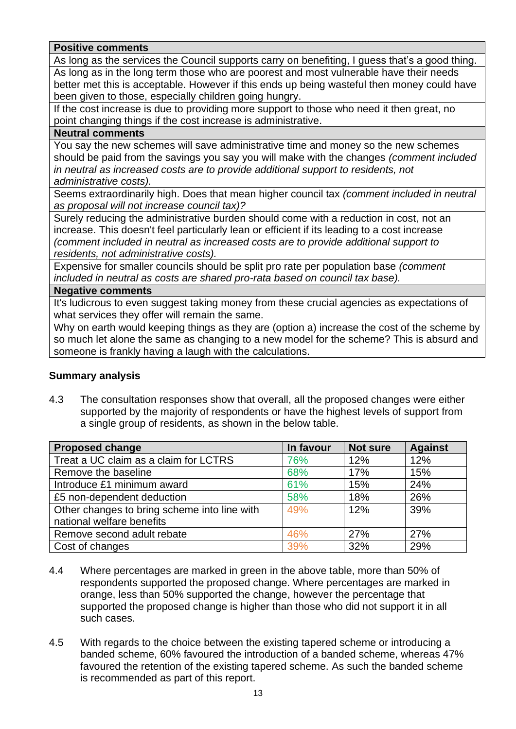# **Positive comments**

As long as the services the Council supports carry on benefiting, I guess that's a good thing. As long as in the long term those who are poorest and most vulnerable have their needs better met this is acceptable. However if this ends up being wasteful then money could have been given to those, especially children going hungry.

If the cost increase is due to providing more support to those who need it then great, no point changing things if the cost increase is administrative.

## **Neutral comments**

You say the new schemes will save administrative time and money so the new schemes should be paid from the savings you say you will make with the changes *(comment included in neutral as increased costs are to provide additional support to residents, not administrative costs).*

Seems extraordinarily high. Does that mean higher council tax *(comment included in neutral as proposal will not increase council tax)?*

Surely reducing the administrative burden should come with a reduction in cost, not an increase. This doesn't feel particularly lean or efficient if its leading to a cost increase *(comment included in neutral as increased costs are to provide additional support to residents, not administrative costs).*

Expensive for smaller councils should be split pro rate per population base *(comment included in neutral as costs are shared pro-rata based on council tax base).*

#### **Negative comments**

It's ludicrous to even suggest taking money from these crucial agencies as expectations of what services they offer will remain the same.

Why on earth would keeping things as they are (option a) increase the cost of the scheme by so much let alone the same as changing to a new model for the scheme? This is absurd and someone is frankly having a laugh with the calculations.

## **Summary analysis**

4.3 The consultation responses show that overall, all the proposed changes were either supported by the majority of respondents or have the highest levels of support from a single group of residents, as shown in the below table.

| <b>Proposed change</b>                       | In favour | <b>Not sure</b> | <b>Against</b> |
|----------------------------------------------|-----------|-----------------|----------------|
| Treat a UC claim as a claim for LCTRS        | 76%       | 12%             | 12%            |
| Remove the baseline                          | 68%       | 17%             | 15%            |
| Introduce £1 minimum award                   | 61%       | 15%             | 24%            |
| £5 non-dependent deduction                   | 58%       | 18%             | 26%            |
| Other changes to bring scheme into line with | 49%       | 12%             | 39%            |
| national welfare benefits                    |           |                 |                |
| Remove second adult rebate                   | 46%       | 27%             | 27%            |
| Cost of changes                              | 39%       | 32%             | 29%            |

- 4.4 Where percentages are marked in green in the above table, more than 50% of respondents supported the proposed change. Where percentages are marked in orange, less than 50% supported the change, however the percentage that supported the proposed change is higher than those who did not support it in all such cases.
- 4.5 With regards to the choice between the existing tapered scheme or introducing a banded scheme, 60% favoured the introduction of a banded scheme, whereas 47% favoured the retention of the existing tapered scheme. As such the banded scheme is recommended as part of this report.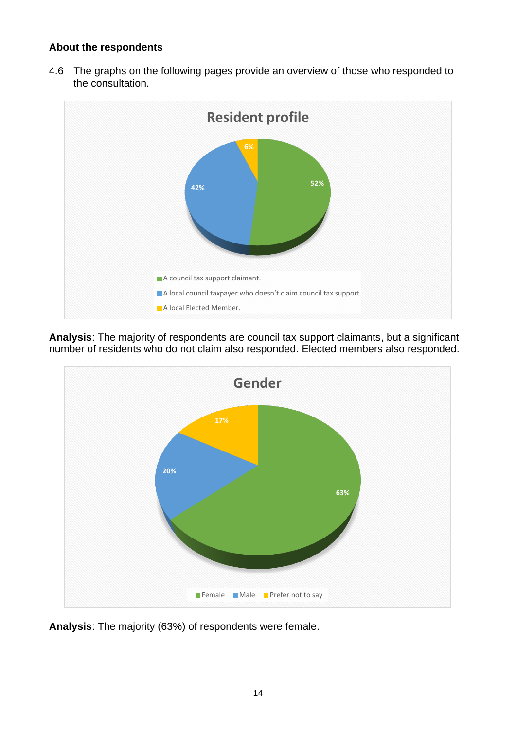# **About the respondents**

4.6 The graphs on the following pages provide an overview of those who responded to the consultation.



**Analysis**: The majority of respondents are council tax support claimants, but a significant number of residents who do not claim also responded. Elected members also responded.



**Analysis**: The majority (63%) of respondents were female.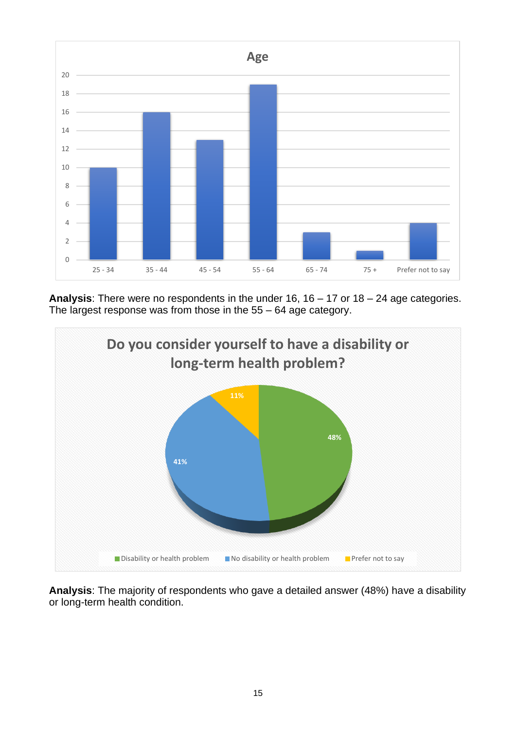

**Analysis**: There were no respondents in the under 16, 16 – 17 or 18 – 24 age categories. The largest response was from those in the 55 – 64 age category.



**Analysis**: The majority of respondents who gave a detailed answer (48%) have a disability or long-term health condition.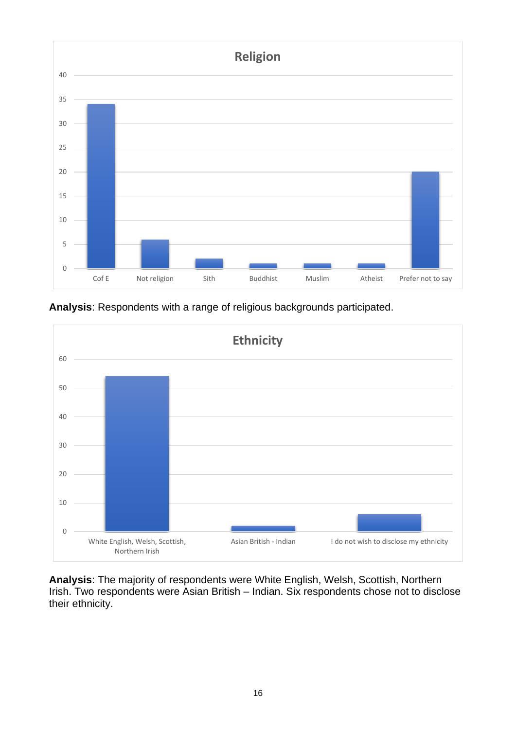

**Analysis**: Respondents with a range of religious backgrounds participated.

![](_page_15_Figure_2.jpeg)

**Analysis**: The majority of respondents were White English, Welsh, Scottish, Northern Irish. Two respondents were Asian British – Indian. Six respondents chose not to disclose their ethnicity.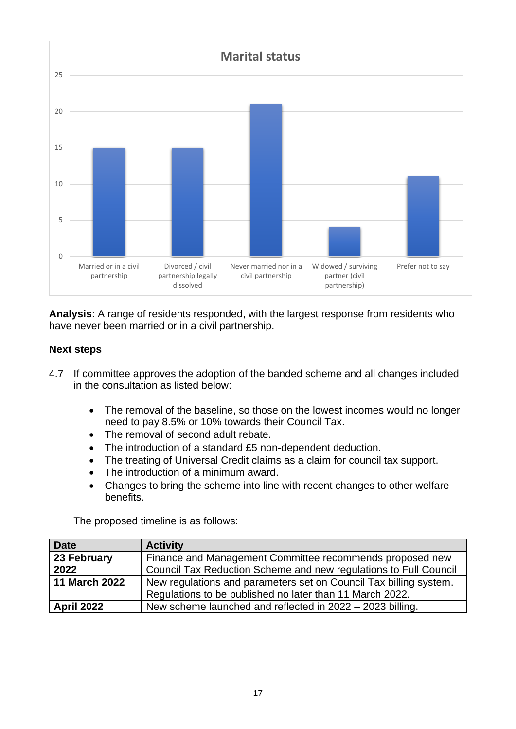![](_page_16_Figure_0.jpeg)

**Analysis**: A range of residents responded, with the largest response from residents who have never been married or in a civil partnership.

# **Next steps**

- 4.7 If committee approves the adoption of the banded scheme and all changes included in the consultation as listed below:
	- The removal of the baseline, so those on the lowest incomes would no longer need to pay 8.5% or 10% towards their Council Tax.
	- The removal of second adult rebate.
	- The introduction of a standard £5 non-dependent deduction.
	- The treating of Universal Credit claims as a claim for council tax support.
	- The introduction of a minimum award.
	- Changes to bring the scheme into line with recent changes to other welfare benefits.

The proposed timeline is as follows:

| <b>Date</b>          | <b>Activity</b>                                                   |
|----------------------|-------------------------------------------------------------------|
| 23 February          | Finance and Management Committee recommends proposed new          |
| 2022                 | Council Tax Reduction Scheme and new regulations to Full Council  |
| <b>11 March 2022</b> | New regulations and parameters set on Council Tax billing system. |
|                      | Regulations to be published no later than 11 March 2022.          |
| <b>April 2022</b>    | New scheme launched and reflected in 2022 - 2023 billing.         |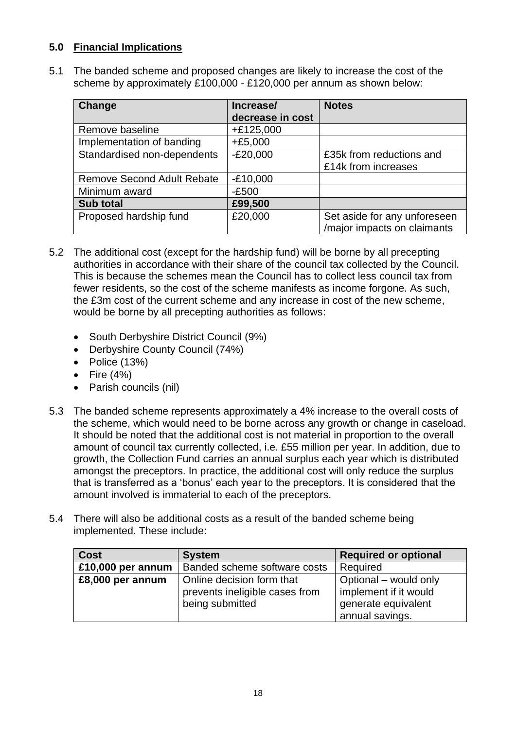# **5.0 Financial Implications**

5.1 The banded scheme and proposed changes are likely to increase the cost of the scheme by approximately £100,000 - £120,000 per annum as shown below:

| <b>Change</b>                     | Increase/        | <b>Notes</b>                 |
|-----------------------------------|------------------|------------------------------|
|                                   | decrease in cost |                              |
| Remove baseline                   | $+£125,000$      |                              |
| Implementation of banding         | $+£5,000$        |                              |
| Standardised non-dependents       | $-E20,000$       | £35k from reductions and     |
|                                   |                  | £14k from increases          |
| <b>Remove Second Adult Rebate</b> | $-E10,000$       |                              |
| Minimum award                     | $-E500$          |                              |
| <b>Sub total</b>                  | £99,500          |                              |
| Proposed hardship fund            | £20,000          | Set aside for any unforeseen |
|                                   |                  | /major impacts on claimants  |

- 5.2 The additional cost (except for the hardship fund) will be borne by all precepting authorities in accordance with their share of the council tax collected by the Council. This is because the schemes mean the Council has to collect less council tax from fewer residents, so the cost of the scheme manifests as income forgone. As such, the £3m cost of the current scheme and any increase in cost of the new scheme, would be borne by all precepting authorities as follows:
	- South Derbyshire District Council (9%)
	- Derbyshire County Council (74%)
	- Police (13%)
	- Fire  $(4%)$
	- Parish councils (nil)
- 5.3 The banded scheme represents approximately a 4% increase to the overall costs of the scheme, which would need to be borne across any growth or change in caseload. It should be noted that the additional cost is not material in proportion to the overall amount of council tax currently collected, i.e. £55 million per year. In addition, due to growth, the Collection Fund carries an annual surplus each year which is distributed amongst the preceptors. In practice, the additional cost will only reduce the surplus that is transferred as a 'bonus' each year to the preceptors. It is considered that the amount involved is immaterial to each of the preceptors.
- 5.4 There will also be additional costs as a result of the banded scheme being implemented. These include:

| <b>Cost</b>       | <b>System</b>                                                                  | <b>Required or optional</b>                                           |
|-------------------|--------------------------------------------------------------------------------|-----------------------------------------------------------------------|
| £10,000 per annum | Banded scheme software costs                                                   | Required                                                              |
| £8,000 per annum  | Online decision form that<br>prevents ineligible cases from<br>being submitted | Optional – would only<br>implement if it would<br>generate equivalent |
|                   |                                                                                | annual savings.                                                       |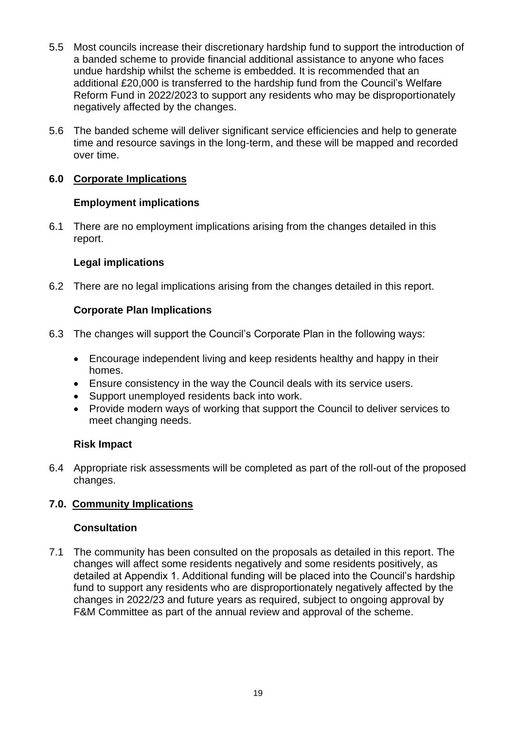- 5.5 Most councils increase their discretionary hardship fund to support the introduction of a banded scheme to provide financial additional assistance to anyone who faces undue hardship whilst the scheme is embedded. It is recommended that an additional £20,000 is transferred to the hardship fund from the Council's Welfare Reform Fund in 2022/2023 to support any residents who may be disproportionately negatively affected by the changes.
- 5.6 The banded scheme will deliver significant service efficiencies and help to generate time and resource savings in the long-term, and these will be mapped and recorded over time.

# **6.0 Corporate Implications**

# **Employment implications**

6.1 There are no employment implications arising from the changes detailed in this report.

# **Legal implications**

6.2 There are no legal implications arising from the changes detailed in this report.

# **Corporate Plan Implications**

- 6.3 The changes will support the Council's Corporate Plan in the following ways:
	- Encourage independent living and keep residents healthy and happy in their homes.
	- Ensure consistency in the way the Council deals with its service users.
	- Support unemployed residents back into work.
	- Provide modern ways of working that support the Council to deliver services to meet changing needs.

# **Risk Impact**

6.4 Appropriate risk assessments will be completed as part of the roll-out of the proposed changes.

# **7.0. Community Implications**

## **Consultation**

7.1 The community has been consulted on the proposals as detailed in this report. The changes will affect some residents negatively and some residents positively, as detailed at Appendix 1. Additional funding will be placed into the Council's hardship fund to support any residents who are disproportionately negatively affected by the changes in 2022/23 and future years as required, subject to ongoing approval by F&M Committee as part of the annual review and approval of the scheme.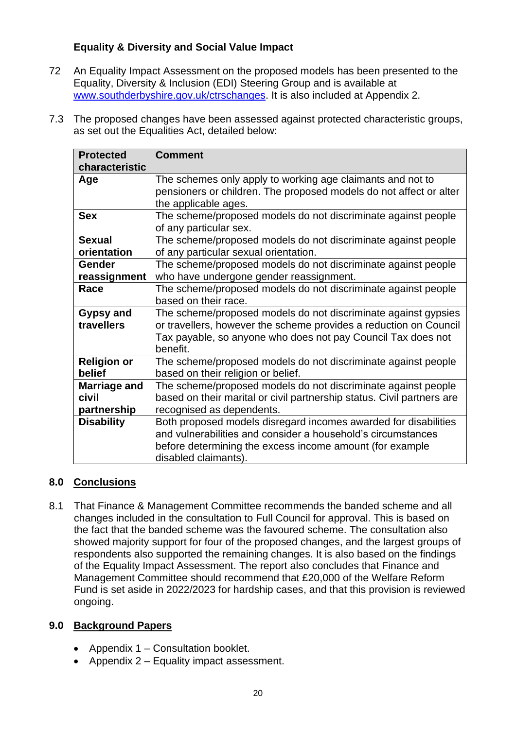# **Equality & Diversity and Social Value Impact**

- 72 An Equality Impact Assessment on the proposed models has been presented to the Equality, Diversity & Inclusion (EDI) Steering Group and is available at [www.southderbyshire.gov.uk/ctrschanges.](http://www.southderbyshire.gov.uk/ctrschanges) It is also included at Appendix 2.
- 7.3 The proposed changes have been assessed against protected characteristic groups, as set out the Equalities Act, detailed below:

| <b>Protected</b>                     | <b>Comment</b>                                                                                                                                                                                                      |
|--------------------------------------|---------------------------------------------------------------------------------------------------------------------------------------------------------------------------------------------------------------------|
| characteristic                       |                                                                                                                                                                                                                     |
| Age                                  | The schemes only apply to working age claimants and not to<br>pensioners or children. The proposed models do not affect or alter<br>the applicable ages.                                                            |
| <b>Sex</b>                           | The scheme/proposed models do not discriminate against people<br>of any particular sex.                                                                                                                             |
| <b>Sexual</b><br>orientation         | The scheme/proposed models do not discriminate against people<br>of any particular sexual orientation.                                                                                                              |
| Gender<br>reassignment               | The scheme/proposed models do not discriminate against people<br>who have undergone gender reassignment.                                                                                                            |
| Race                                 | The scheme/proposed models do not discriminate against people<br>based on their race.                                                                                                                               |
| <b>Gypsy and</b><br>travellers       | The scheme/proposed models do not discriminate against gypsies<br>or travellers, however the scheme provides a reduction on Council<br>Tax payable, so anyone who does not pay Council Tax does not<br>benefit.     |
| <b>Religion or</b><br>belief         | The scheme/proposed models do not discriminate against people<br>based on their religion or belief.                                                                                                                 |
| Marriage and<br>civil<br>partnership | The scheme/proposed models do not discriminate against people<br>based on their marital or civil partnership status. Civil partners are<br>recognised as dependents.                                                |
| <b>Disability</b>                    | Both proposed models disregard incomes awarded for disabilities<br>and vulnerabilities and consider a household's circumstances<br>before determining the excess income amount (for example<br>disabled claimants). |

# **8.0 Conclusions**

8.1 That Finance & Management Committee recommends the banded scheme and all changes included in the consultation to Full Council for approval. This is based on the fact that the banded scheme was the favoured scheme. The consultation also showed majority support for four of the proposed changes, and the largest groups of respondents also supported the remaining changes. It is also based on the findings of the Equality Impact Assessment. The report also concludes that Finance and Management Committee should recommend that £20,000 of the Welfare Reform Fund is set aside in 2022/2023 for hardship cases, and that this provision is reviewed ongoing.

# **9.0 Background Papers**

- Appendix 1 Consultation booklet.
- Appendix 2 Equality impact assessment.